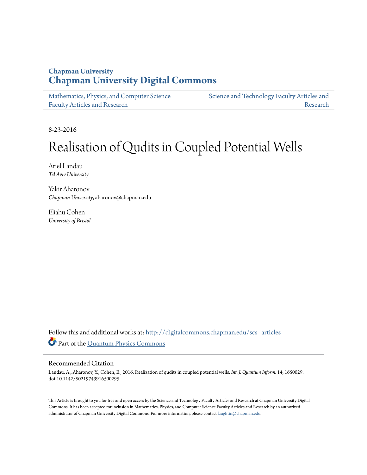## **Chapman University [Chapman University Digital Commons](http://digitalcommons.chapman.edu?utm_source=digitalcommons.chapman.edu%2Fscs_articles%2F383&utm_medium=PDF&utm_campaign=PDFCoverPages)**

[Mathematics, Physics, and Computer Science](http://digitalcommons.chapman.edu/scs_articles?utm_source=digitalcommons.chapman.edu%2Fscs_articles%2F383&utm_medium=PDF&utm_campaign=PDFCoverPages) [Faculty Articles and Research](http://digitalcommons.chapman.edu/scs_articles?utm_source=digitalcommons.chapman.edu%2Fscs_articles%2F383&utm_medium=PDF&utm_campaign=PDFCoverPages) [Science and Technology Faculty Articles and](http://digitalcommons.chapman.edu/science_articles?utm_source=digitalcommons.chapman.edu%2Fscs_articles%2F383&utm_medium=PDF&utm_campaign=PDFCoverPages)

8-23-2016

# Realisation of Qudits in Coupled Potential Wells

[Research](http://digitalcommons.chapman.edu/science_articles?utm_source=digitalcommons.chapman.edu%2Fscs_articles%2F383&utm_medium=PDF&utm_campaign=PDFCoverPages)

Ariel Landau *Tel Aviv University*

Yakir Aharonov *Chapman University*, aharonov@chapman.edu

Eliahu Cohen *University of Bristol*

Follow this and additional works at: [http://digitalcommons.chapman.edu/scs\\_articles](http://digitalcommons.chapman.edu/scs_articles?utm_source=digitalcommons.chapman.edu%2Fscs_articles%2F383&utm_medium=PDF&utm_campaign=PDFCoverPages) Part of the [Quantum Physics Commons](http://network.bepress.com/hgg/discipline/206?utm_source=digitalcommons.chapman.edu%2Fscs_articles%2F383&utm_medium=PDF&utm_campaign=PDFCoverPages)

### Recommended Citation

Landau, A., Aharonov, Y., Cohen, E., 2016. Realization of qudits in coupled potential wells. *Int. J. Quantum Inform.* 14, 1650029. doi:10.1142/S0219749916500295

This Article is brought to you for free and open access by the Science and Technology Faculty Articles and Research at Chapman University Digital Commons. It has been accepted for inclusion in Mathematics, Physics, and Computer Science Faculty Articles and Research by an authorized administrator of Chapman University Digital Commons. For more information, please contact [laughtin@chapman.edu.](mailto:laughtin@chapman.edu)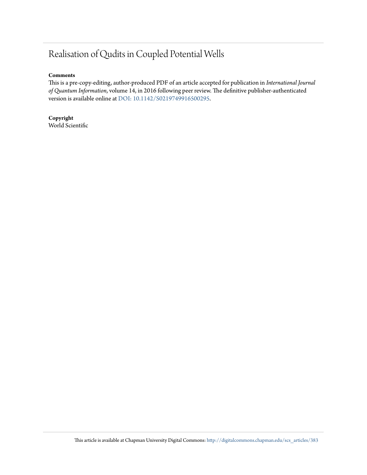# Realisation of Qudits in Coupled Potential Wells

### **Comments**

This is a pre-copy-editing, author-produced PDF of an article accepted for publication in *International Journal of Quantum Information*, volume 14, in 2016 following peer review. The definitive publisher-authenticated version is available online at [DOI: 10.1142/S0219749916500295.](http://dx.doi.org/10.1142/S0219749916500295)

**Copyright** World Scientific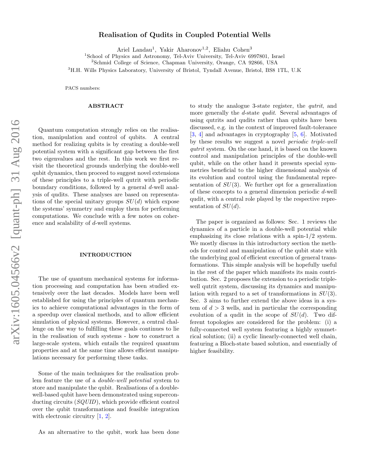# arXiv:1605.04566v2 [quant-ph] 31 Aug 2016 arXiv:1605.04566v2 [quant-ph] 31 Aug 2016

### Realisation of Qudits in Coupled Potential Wells

Ariel Landau<sup>1</sup>, Yakir Aharonov<sup>1,2</sup>, Eliahu Cohen<sup>3</sup>

<sup>1</sup>School of Physics and Astronomy, Tel-Aviv University, Tel-Aviv 6997801, Israel

<sup>2</sup>Schmid College of Science, Chapman University, Orange, CA 92866, USA

<sup>3</sup>H.H. Wills Physics Laboratory, University of Bristol, Tyndall Avenue, Bristol, BS8 1TL, U.K

PACS numbers:

### ABSTRACT

Quantum computation strongly relies on the realisation, manipulation and control of qubits. A central method for realizing qubits is by creating a double-well potential system with a significant gap between the first two eigenvalues and the rest. In this work we first revisit the theoretical grounds underlying the double-well qubit dynamics, then proceed to suggest novel extensions of these principles to a triple-well qutrit with periodic boundary conditions, followed by a general d-well analysis of qudits. These analyses are based on representations of the special unitary groups  $SU(d)$  which expose the systems' symmetry and employ them for performing computations. We conclude with a few notes on coherence and scalability of d-well systems.

### INTRODUCTION

The use of quantum mechanical systems for information processing and computation has been studied extensively over the last decades. Models have been well established for using the principles of quantum mechanics to achieve computational advantages in the form of a speedup over classical methods, and to allow efficient simulation of physical systems. However, a central challenge on the way to fulfilling these goals continues to lie in the realisation of such systems - how to construct a large-scale system, which entails the required quantum properties and at the same time allows efficient manipulations necessary for performing these tasks.

Some of the main techniques for the realisation problem feature the use of a double-well potential system to store and manipulate the qubit. Realisations of a doublewell-based qubit have been demonstrated using superconducting circuits (SQUID), which provide efficient control over the qubit transformations and feasible integration with electronic circuitry  $[1, 2]$  $[1, 2]$  $[1, 2]$ .

As an alternative to the qubit, work has been done

to study the analogue 3-state register, the qutrit, and more generally the d-state *qudit*. Several advantages of using qutrits and qudits rather than qubits have been discussed, e.g. in the context of improved fault-tolerance [\[3,](#page-17-2) [4\]](#page-17-3) and advantages in cryptography [\[5,](#page-18-0) [6\]](#page-18-1). Motivated by these results we suggest a novel periodic triple-well qutrit system. On the one hand, it is based on the known control and manipulation principles of the double-well qubit, while on the other hand it presents special symmetries beneficial to the higher dimensional analysis of its evolution and control using the fundamental representation of  $SU(3)$ . We further opt for a generalization of these concepts to a general dimension periodic d-well qudit, with a central role played by the respective representation of  $SU(d)$ .

The paper is organized as follows: Sec. 1 reviews the dynamics of a particle in a double-well potential while emphasizing its close relations with a spin-1/2 system. We mostly discuss in this introductory section the methods for control and manipulation of the qubit state with the underlying goal of efficient execution of general transformations. This simple analysis will be hopefully useful in the rest of the paper which manifests its main contribution. Sec. 2 proposes the extension to a periodic triplewell qutrit system, discussing its dynamics and manipulation with regard to a set of transformations in  $SU(3)$ . Sec. 3 aims to further extend the above ideas in a system of  $d > 3$  wells, and in particular the corresponding evolution of a qudit in the scope of  $SU(d)$ . Two different topologies are considered for the problem: (i) a fully-connected well system featuring a highly symmetrical solution; (ii) a cyclic linearly-connected well chain, featuring a Bloch-state based solution, and essentially of higher feasibility.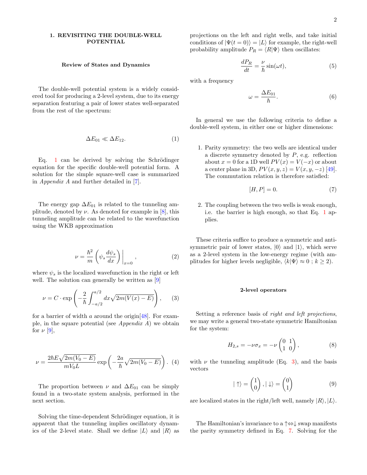### <span id="page-3-4"></span>1. REVISITING THE DOUBLE-WELL POTENTIAL

### Review of States and Dynamics

The double-well potential system is a widely considered tool for producing a 2-level system, due to its energy separation featuring a pair of lower states well-separated from the rest of the spectrum:

<span id="page-3-0"></span>
$$
\Delta E_{01} \ll \Delta E_{12}.\tag{1}
$$

Eq. [1](#page-3-0) can be derived by solving the Schrödinger equation for the specific double-well potential form. A solution for the simple square-well case is summarized in Appendix A and further detailed in [\[7\]](#page-18-2).

The energy gap  $\Delta E_{01}$  is related to the tunneling amplitude, denoted by  $\nu$ . As denoted for example in [\[8\]](#page-18-3), this tunneling amplitude can be related to the wavefunction using the WKB approximation

$$
\nu = \frac{\hbar^2}{m} \left( \psi_s \frac{d\psi_s}{dx} \right) \Big|_{x=0} , \qquad (2)
$$

where  $\psi_s$  is the localized wavefunction in the right or left well. The solution can generally be written as [\[9\]](#page-18-4)

<span id="page-3-1"></span>
$$
\nu = C \cdot \exp\left(-\frac{2}{\hbar} \int_{-a/2}^{a/2} dx \sqrt{2m(V(x) - E)}\right), \quad (3)
$$

for a barrier of width a around the origin  $[48]$ . For example, in the square potential (see Appendix  $A$ ) we obtain for  $\nu$  [\[9\]](#page-18-4),

$$
\nu = \frac{2\hbar E\sqrt{2m(V_0 - E)}}{mV_0L} \exp\left(-\frac{2a}{\hbar}\sqrt{2m(V_0 - E)}\right).
$$
 (4)

The proportion between  $\nu$  and  $\Delta E_{01}$  can be simply found in a two-state system analysis, performed in the next section.

Solving the time-dependent Schrödinger equation, it is apparent that the tunneling implies oscillatory dynamics of the 2-level state. Shall we define  $|L\rangle$  and  $|R\rangle$  as

projections on the left and right wells, and take initial conditions of  $|\Psi(t=0)\rangle = |L\rangle$  for example, the right-well probability amplitude  $P_R = \langle R|\Psi\rangle$  then oscillates:

$$
\frac{dP_R}{dt} = \frac{\nu}{\hbar} \sin(\omega t),\tag{5}
$$

with a frequency

$$
\omega = \frac{\Delta E_{01}}{\hbar}.\tag{6}
$$

In general we use the following criteria to define a double-well system, in either one or higher dimensions:

1. Parity symmetry: the two wells are identical under a discrete symmetry denoted by  $P$ , e.g. reflection about  $x = 0$  for a 1D well  $PV(x) = V(-x)$  or about a center plane in 3D,  $PV(x, y, z) = V(x, y, -z)$  [\[49\]](#page-19-1). The commutation relation is therefore satisfied:

<span id="page-3-2"></span>
$$
[H, P] = 0.\t\t(7)
$$

2. The coupling between the two wells is weak enough, i.e. the barrier is high enough, so that Eq. [1](#page-3-0) applies.

These criteria suffice to produce a symmetric and antisymmetric pair of lower states,  $|0\rangle$  and  $|1\rangle$ , which serve as a 2-level system in the low-energy regime (with amplitudes for higher levels negligible,  $\langle k|\Psi\rangle \approx 0$ ;  $k \ge 2$ ).

### 2-level operators

Setting a reference basis of right and left projections, we may write a general two-state symmetric Hamiltonian for the system:

<span id="page-3-3"></span>
$$
H_{2,s} = -\nu \sigma_x = -\nu \begin{pmatrix} 0 & 1 \\ 1 & 0 \end{pmatrix}, \tag{8}
$$

with  $\nu$  the tunneling amplitude (Eq. [3\)](#page-3-1), and the basis vectors

$$
|\uparrow\rangle = \begin{pmatrix} 1 \\ 0 \end{pmatrix}, |\downarrow\rangle = \begin{pmatrix} 0 \\ 1 \end{pmatrix} \tag{9}
$$

are localized states in the right/left well, namely  $|R\rangle$ ,  $|L\rangle$ .

The Hamiltonian's invariance to a ↑⇔↓ swap manifests the parity symmetry defined in Eq. [7.](#page-3-2) Solving for the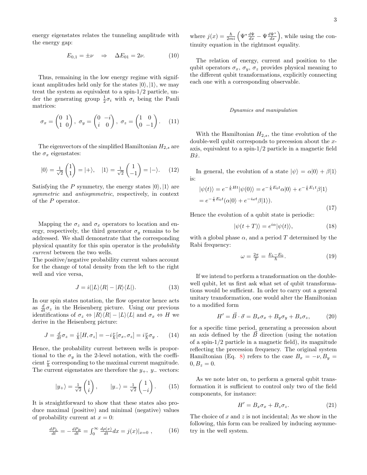energy eigenstates relates the tunneling amplitude with the energy gap:

<span id="page-4-2"></span>
$$
E_{0,1} = \pm \nu \quad \Rightarrow \quad \Delta E_{01} = 2\nu. \tag{10}
$$

Thus, remaining in the low energy regime with significant amplitudes held only for the states  $|0\rangle, |1\rangle$ , we may treat the system as equivalent to a spin-1/2 particle, under the generating group  $\frac{1}{2}\sigma_i$  with  $\sigma_i$  being the Pauli matrices:

$$
\sigma_x = \begin{pmatrix} 0 & 1 \\ 1 & 0 \end{pmatrix}, \ \sigma_y = \begin{pmatrix} 0 & -i \\ i & 0 \end{pmatrix}, \ \sigma_z = \begin{pmatrix} 1 & 0 \\ 0 & -1 \end{pmatrix}.
$$
 (11)

The eigenvectors of the simplified Hamiltonian  $H_{2,s}$  are the  $\sigma_x$  eigenstates:

<span id="page-4-1"></span>
$$
|0\rangle = \frac{1}{\sqrt{2}} \begin{pmatrix} 1 \\ 1 \end{pmatrix} = |+\rangle, \quad |1\rangle = \frac{1}{\sqrt{2}} \begin{pmatrix} 1 \\ -1 \end{pmatrix} = |-\rangle. \quad (12)
$$

Satisfying the P symmetry, the energy states  $|0\rangle, |1\rangle$  are symmetric and *antisymmetric*, respectively, in context of the P operator.

Mapping the  $\sigma_z$  and  $\sigma_x$  operators to location and energy, respectively, the third generator  $\sigma_y$  remains to be addressed. We shall demonstrate that the corresponding physical quantity for this spin operator is the probability current between the two wells.

The positive/negative probability current values account for the change of total density from the left to the right well and vice versa,

$$
J = i(|L\rangle\langle R| - |R\rangle\langle L|). \tag{13}
$$

In our spin states notation, the flow operator hence acts as  $\frac{d}{dt}\sigma_z$  in the Heisenberg picture. Using our previous identifications of  $\sigma_z \Leftrightarrow |R\rangle\langle R| - |L\rangle\langle L|$  and  $\sigma_x \Leftrightarrow H$  we derive in the Heisenberg picture:

$$
J = \frac{d}{dt}\sigma_z = \frac{i}{\hbar}[H,\sigma_z] = -i\frac{\nu}{\hbar}[\sigma_x,\sigma_z] = i\frac{\nu}{\hbar}\sigma_y. \qquad (14)
$$

Hence, the probability current between wells is proportional to the  $\sigma_y$  in the 2-level notation, with the coefficient  $\frac{\nu}{\hbar}$  corresponding to the maximal current magnitude. The current eigenstates are therefore the  $y_+$ ,  $y_-$  vectors:

$$
|y_{+}\rangle = \frac{1}{\sqrt{2}} \begin{pmatrix} 1 \\ i \end{pmatrix}, \qquad |y_{-}\rangle = \frac{1}{\sqrt{2}} \begin{pmatrix} 1 \\ -i \end{pmatrix}. \tag{15}
$$

It is straightforward to show that these states also produce maximal (positive) and minimal (negative) values of probability current at  $x = 0$ :

$$
\frac{dP_L}{dt} = -\frac{dP_R}{dt} = \int_0^\infty \frac{d\rho(x)}{dt} dx = j(x)|_{x=0} , \qquad (16)
$$

where  $j(x) = \frac{\hbar}{2mi} \left( \Psi^* \frac{d\Psi}{dx} - \Psi \frac{d\Psi^*}{dx} \right)$ , while using the continuity equation in the rightmost equality.

The relation of energy, current and position to the qubit operators  $\sigma_x$ ,  $\sigma_y$ ,  $\sigma_z$  provides physical meaning to the different qubit transformations, explicitly connecting each one with a corresponding observable.

### <span id="page-4-3"></span>Dynamics and manipulation

With the Hamiltonian  $H_{2,s}$ , the time evolution of the double-well qubit corresponds to precession about the xaxis, equivalent to a spin-1/2 particle in a magnetic field  $B\hat{x}$ .

In general, the evolution of a state  $|\psi\rangle = \alpha|0\rangle + \beta|1\rangle$ is:

$$
|\psi(t)\rangle = e^{-\frac{i}{\hbar}Ht}|\psi(0)\rangle = e^{-\frac{i}{\hbar}E_0t}\alpha|0\rangle + e^{-\frac{i}{\hbar}E_1t}\beta|1\rangle
$$
  
= 
$$
e^{-\frac{i}{\hbar}E_0t}(\alpha|0\rangle + e^{-i\omega t}\beta|1\rangle).
$$
 (17)

Hence the evolution of a qubit state is periodic:

<span id="page-4-4"></span>
$$
|\psi(t+T)\rangle = e^{i\alpha}|\psi(t)\rangle, \tag{18}
$$

with a global phase  $\alpha$ , and a period T determined by the Rabi frequency:

$$
\omega = \frac{2\pi}{T} = \frac{E_1 - E_0}{\hbar}.
$$
\n(19)

If we intend to perform a transformation on the doublewell qubit, let us first ask what set of qubit transformations would be sufficient. In order to carry out a general unitary transformation, one would alter the Hamiltonian to a modified form

<span id="page-4-0"></span>
$$
H' = \vec{B} \cdot \vec{\sigma} = B_x \sigma_x + B_y \sigma_y + B_z \sigma_z, \tag{20}
$$

for a specific time period, generating a precession about an axis defined by the  $\vec{B}$  direction (using the notation of a spin-1/2 particle in a magnetic field), its magnitude reflecting the precession frequency. The original system Hamiltonian (Eq. [8\)](#page-3-3) refers to the case  $B_x = -\nu, B_y =$  $0, B_z = 0.$ 

As we note later on, to perform a general qubit transformation it is sufficient to control only two of the field components, for instance:

$$
H' = B_x \sigma_x + B_z \sigma_z. \tag{21}
$$

The choice of  $x$  and  $z$  is not incidental; As we show in the following, this form can be realized by inducing asymmetry in the well system.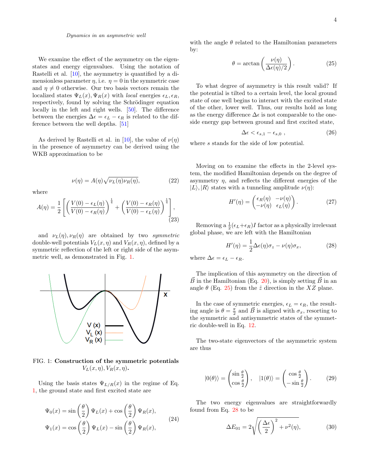### Dynamics in an asymmetric well

We examine the effect of the asymmetry on the eigenstates and energy eigenvalues. Using the notation of Rastelli et al. [\[10\]](#page-18-5), the asymmetry is quantified by a dimensionless parameter  $\eta$ , i.e.  $\eta = 0$  in the symmetric case and  $\eta \neq 0$  otherwise. Our two basis vectors remain the localized states  $\Psi_L(x), \Psi_R(x)$  with *local* energies  $\epsilon_L, \epsilon_R$ , respectively, found by solving the Schrödinger equation locally in the left and right wells. [\[50\]](#page-19-2). The difference between the energies  $\Delta \epsilon = \epsilon_L - \epsilon_R$  is related to the difference between the well depths. [\[51\]](#page-19-3)

As derived by Rastelli et al. in [\[10\]](#page-18-5), the value of  $\nu(\eta)$ in the presence of asymmetry can be derived using the WKB approximation to be

$$
\nu(\eta) = A(\eta)\sqrt{\nu_L(\eta)\nu_R(\eta)},\tag{22}
$$

where

$$
A(\eta) = \frac{1}{2} \left[ \left( \frac{V(0) - \epsilon_L(\eta)}{V(0) - \epsilon_R(\eta)} \right)^{\frac{1}{4}} + \left( \frac{V(0) - \epsilon_R(\eta)}{V(0) - \epsilon_L(\eta)} \right)^{\frac{1}{4}} \right],
$$
\n(23)

and  $\nu_L(\eta)$ ,  $\nu_R(\eta)$  are obtained by two symmetric double-well potentials  $V_L(x, \eta)$  and  $V_R(x, \eta)$ , defined by a symmetric reflection of the left or right side of the asymmetric well, as demonstrated in Fig. [1.](#page-5-0)



<span id="page-5-0"></span>FIG. 1: Construction of the symmetric potentials  $V_L(x, \eta), V_R(x, \eta)$ .

Using the basis states  $\Psi_{L/R}(x)$  in the regime of Eq. [1,](#page-3-0) the ground state and first excited state are

$$
\Psi_0(x) = \sin\left(\frac{\theta}{2}\right) \Psi_L(x) + \cos\left(\frac{\theta}{2}\right) \Psi_R(x),
$$
  

$$
\Psi_1(x) = \cos\left(\frac{\theta}{2}\right) \Psi_L(x) - \sin\left(\frac{\theta}{2}\right) \Psi_R(x),
$$
 (24)

with the angle  $\theta$  related to the Hamiltonian parameters by:

<span id="page-5-1"></span>
$$
\theta = \arctan\left(\frac{\nu(\eta)}{\Delta\epsilon(\eta)/2}\right). \tag{25}
$$

To what degree of asymmetry is this result valid? If the potential is tilted to a certain level, the local ground state of one well begins to interact with the excited state of the other, lower well. Thus, our results hold as long as the energy difference  $\Delta \epsilon$  is not comparable to the oneside energy gap between ground and first excited state,

<span id="page-5-3"></span>
$$
\Delta \epsilon < \epsilon_{s,1} - \epsilon_{s,0} \tag{26}
$$

where s stands for the side of low potential.

Moving on to examine the effects in the 2-level system, the modified Hamiltonian depends on the degree of asymmetry  $\eta$ , and reflects the different energies of the  $|L\rangle, |R\rangle$  states with a tunneling amplitude  $\nu(\eta)$ :

$$
H'(\eta) = \begin{pmatrix} \epsilon_R(\eta) & -\nu(\eta) \\ -\nu(\eta) & \epsilon_L(\eta) \end{pmatrix} . \tag{27}
$$

Removing a  $\frac{1}{2}(\epsilon_L+\epsilon_R)I$  factor as a physically irrelevant global phase, we are left with the Hamiltonian

<span id="page-5-2"></span>
$$
H'(\eta) = \frac{1}{2}\Delta\epsilon(\eta)\sigma_z - \nu(\eta)\sigma_x, \qquad (28)
$$

where  $\Delta \epsilon = \epsilon_L - \epsilon_R$ .

The implication of this asymmetry on the direction of  $\vec{B}$  in the Hamiltonian (Eq. [20\)](#page-4-0), is simply setting  $\vec{B}$  in an angle  $\theta$  (Eq. [25\)](#page-5-1) from the  $\hat{z}$  direction in the XZ plane.

In the case of symmetric energies,  $\epsilon_L = \epsilon_R$ , the resulting angle is  $\theta = \frac{\pi}{2}$  and  $\vec{B}$  is aligned with  $\sigma_x$ , resorting to the symmetric and antisymmetric states of the symmetric double-well in Eq. [12.](#page-4-1)

The two-state eigenvectors of the asymmetric system are thus

$$
|0(\theta)\rangle = \begin{pmatrix} \sin\frac{\theta}{2} \\ \cos\frac{\theta}{2} \end{pmatrix}, \quad |1(\theta)\rangle = \begin{pmatrix} \cos\frac{\theta}{2} \\ -\sin\frac{\theta}{2} \end{pmatrix}.
$$
 (29)

The two energy eigenvalues are straightforwardly found from Eq. [28](#page-5-2) to be

$$
\Delta E_{01} = 2\sqrt{\left(\frac{\Delta\epsilon}{2}\right)^2 + \nu^2(\eta)},\tag{30}
$$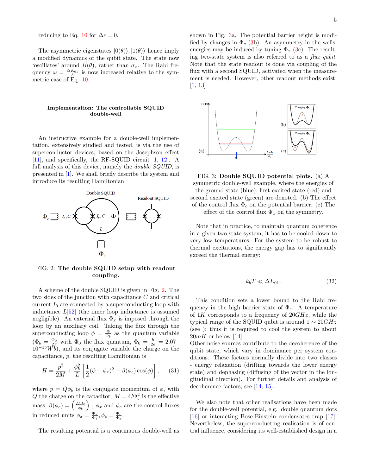reducing to Eq. [10](#page-4-2) for  $\Delta \epsilon = 0$ .

The asymmetric eigenstates  $|0(\theta)\rangle, |1(\theta)\rangle$  hence imply a modified dynamics of the qubit state. The state now 'oscillates' around  $\vec{B}(\theta)$ , rather than  $\sigma_x$ . The Rabi frequency  $\omega = \frac{\Delta E_{01}}{\hbar}$  is now increased relative to the symmetric case of Eq. [10.](#page-4-2)

### Implementation: The controllable SQUID double-well

An instructive example for a double-well implementation, extensively studied and tested, is via the use of superconductor devices, based on the Josephson effect [\[11\]](#page-18-6), and specifically, the RF-SQUID circuit [\[1,](#page-17-0) [12\]](#page-18-7). A full analysis of this device, namely the *double SQUID*, is presented in [\[1\]](#page-17-0). We shall briefly describe the system and introduce its resulting Hamiltonian.



<span id="page-6-0"></span>FIG. 2: The double SQUID setup with readout coupling.

A scheme of the double SQUID is given in Fig. [2.](#page-6-0) The two sides of the junction with capacitance C and critical current  $I_0$  are connected by a superconducting loop with inductance  $L[52]$  $L[52]$  (the inner loop inductance is assumed negligible). An external flux  $\Phi_x$  is imposed through the loop by an auxiliary coil. Taking the flux through the superconducting loop  $\phi = \frac{\Phi}{\Phi_b}$  as the quantum variable  $(\Phi_b = \frac{\Phi_0}{2\pi}$  with  $\Phi_0$  the flux quantum,  $\Phi_0 = \frac{h}{2e} = 2.07$ .  $10^{-15}\tilde{Wb}$ , and its conjugate variable the charge on the capacitance, p, the resulting Hamiltonian is

$$
H = \frac{p^2}{2M} + \frac{\phi_b^2}{L} \left[ \frac{1}{2} (\phi - \phi_x)^2 - \beta (\phi_c) \cos(\phi) \right], \quad (31)
$$

where  $p = Q\phi_b$  is the conjugate momentum of  $\phi$ , with Q the charge on the capacitor;  $M = C \Phi_b^2$  is the effective mass;  $\beta(\phi_c) = \left(\frac{2LI_0}{\phi_b}\right)$ ;  $\phi_x$  and  $\phi_c$  are the control fluxes in reduced units  $\phi_x = \frac{\Phi_x}{\Phi_b}, \phi_c = \frac{\Phi_c}{\Phi_b}.$ 

The resulting potential is a continuous double-well as

shown in Fig. [3a](#page-6-1). The potential barrier height is modified by changes in  $\Phi_c$  [\(3b](#page-6-1)). An asymmetry in the wells' energies may be induced by tuning  $\Phi_x$  [\(3c](#page-6-1)). The resulting two-state system is also referred to as a flux qubit. Note that the state readout is done via coupling of the flux with a second SQUID, activated when the measurement is needed. However, other readout methods exist. [\[1,](#page-17-0) [13\]](#page-18-8)



<span id="page-6-1"></span>FIG. 3: Double SQUID potential plots. (a) A symmetric double-well example, where the energies of the ground state (blue), first excited state (red) and second excited state (green) are denoted. (b) The effect of the control flux  $\Phi_c$  on the potential barrier. (c) The effect of the control flux  $\Phi_x$  on the symmetry.

Note that in practice, to maintain quantum coherence in a given two-state system, it has to be cooled down to very low temperatures. For the system to be robust to thermal excitations, the energy gap has to significantly exceed the thermal energy:

$$
k_b T \ll \Delta E_{01}.\tag{32}
$$

This condition sets a lower bound to the Rabi frequency in the high barrier state of  $\Phi_c$ . A temperature of 1K corresponds to a frequency of  $20GHz$ , while the typical range of the SQUID qubit is around  $1 \sim 20 GHz$ (see [\)](#page-4-3); thus it is required to cool the system to about  $20mK$  or below [\[14\]](#page-18-9).

Other noise sources contribute to the decoherence of the qubit state, which vary in dominance per system conditions. These factors normally divide into two classes - energy relaxation (drifting towards the lower energy state) and dephasing (diffusing of the vector in the longitudinal direction). For further details and analysis of decoherence factors, see [\[14,](#page-18-9) [15\]](#page-18-10).

We also note that other realisations have been made for the double-well potential, e.g. double quantum dots [\[16\]](#page-18-11) or interacting Bose-Einstein condensates trap [\[17\]](#page-18-12). Nevertheless, the superconducting realisation is of central influence, considering its well-established design in a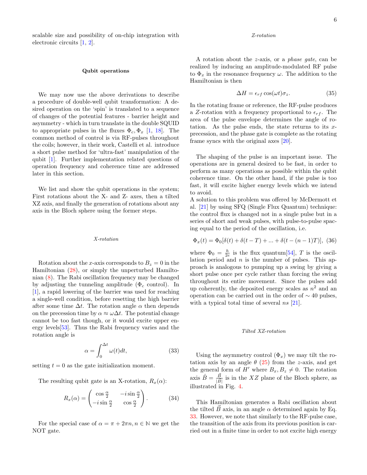scalable size and possibility of on-chip integration with electronic circuits [\[1,](#page-17-0) [2\]](#page-17-1).

### Qubit operations

We may now use the above derivations to describe a procedure of double-well qubit transformation: A desired operation on the 'spin' is translated to a sequence of changes of the potential features - barrier height and asymmetry - which in turn translate in the double SQUID to appropriate pulses in the fluxes  $\Phi_c, \Phi_x$  [\[1,](#page-17-0) [18\]](#page-18-13). The common method of control is via RF-pulses throughout the coils; however, in their work, Castelli et al. introduce a short pulse method for 'ultra-fast' manipulation of the qubit [\[1\]](#page-17-0). Further implementation related questions of operation frequency and coherence time are addressed later in this section.

We list and show the qubit operations in the system; First rotations about the X- and Z- axes, then a tilted XZ axis, and finally the generation of rotations about any axis in the Bloch sphere using the former steps.

### X-rotation

Rotation about the x-axis corresponds to  $B_z = 0$  in the Hamiltonian [\(28\)](#page-5-2), or simply the unperturbed Hamiltonian [\(8\)](#page-3-3). The Rabi oscillation frequency may be changed by adjusting the tunneling amplitude ( $\Phi_c$  control). In [\[1\]](#page-17-0), a rapid lowering of the barrier was used for reaching a single-well condition, before resetting the high barrier after some time  $\Delta t$ . The rotation angle  $\alpha$  then depends on the precession time by  $\alpha \approx \omega \Delta t$ . The potential change cannot be too fast though, or it would excite upper energy levels[\[53\]](#page-19-5). Thus the Rabi frequency varies and the rotation angle is

<span id="page-7-0"></span>
$$
\alpha = \int_0^{\Delta t} \omega(t) dt,
$$
\n(33)

setting  $t = 0$  as the gate initialization moment.

The resulting qubit gate is an X-rotation,  $R_x(\alpha)$ :

<span id="page-7-1"></span>
$$
R_x(\alpha) = \begin{pmatrix} \cos\frac{\alpha}{2} & -i\sin\frac{\alpha}{2} \\ -i\sin\frac{\alpha}{2} & \cos\frac{\alpha}{2} \end{pmatrix}.
$$
 (34)

For the special case of  $\alpha = \pi + 2\pi n, n \in \mathbb{N}$  we get the NOT gate.

### Z-rotation

A rotation about the z-axis, or a phase gate, can be realized by inducing an amplitude-modulated RF pulse to  $\Phi_x$  in the resonance frequency  $\omega$ . The addition to the Hamiltonian is then

$$
\Delta H = \epsilon_{rf} \cos(\omega t) \sigma_z. \tag{35}
$$

In the rotating frame or reference, the RF-pulse produces a Z-rotation with a frequency proportional to  $\epsilon_{rf}$ . The area of the pulse envelope determines the angle of rotation. As the pulse ends, the state returns to its  $x$ precession, and the phase gate is complete as the rotating frame syncs with the original axes [\[20\]](#page-18-14).

The shaping of the pulse is an important issue. The operations are in general desired to be fast, in order to perform as many operations as possible within the qubit coherence time. On the other hand, if the pulse is too fast, it will excite higher energy levels which we intend to avoid.

A solution to this problem was offered by McDermott et al. [\[21\]](#page-18-15) by using SFQ (Single Flux Quantum) technique: the control flux is changed not in a single pulse but in a series of short and weak pulses, with pulse-to-pulse spacing equal to the period of the oscillation, i.e.

$$
\Phi_x(t) = \Phi_0[\delta(t) + \delta(t - T) + \dots + \delta(t - (n - 1)T)], \text{ (36)}
$$

where  $\Phi_0 = \frac{h}{2e}$  is the flux quantum[\[54\]](#page-19-6), T is the oscillation period and  $n$  is the number of pulses. This approach is analogous to pumping up a swing by giving a short pulse once per cycle rather than forcing the swing throughout its entire movement. Since the pulses add up coherently, the deposited energy scales as  $n^2$  and an operation can be carried out in the order of  $\sim$  40 pulses, with a typical total time of several  $ns$  [\[21\]](#page-18-15).

### Tilted XZ-rotation

Using the asymmetry control  $(\Phi_x)$  we may tilt the rotation axis by an angle  $\theta$  [\(25\)](#page-5-1) from the z-axis, and get the general form of H' where  $B_x, B_z \neq 0$ . The rotation axis  $\hat{B} = \frac{\vec{B}}{|\vec{B}|}$  $\frac{B}{|\vec{B}|}$  is in the XZ plane of the Bloch sphere, as illustrated in Fig. [4.](#page-8-0)

This Hamiltonian generates a Rabi oscillation about the tilted  $\vec{B}$  axis, in an angle  $\alpha$  determined again by Eq. [33.](#page-7-0) However, we note that similarly to the RF-pulse case, the transition of the axis from its previous position is carried out in a finite time in order to not excite high energy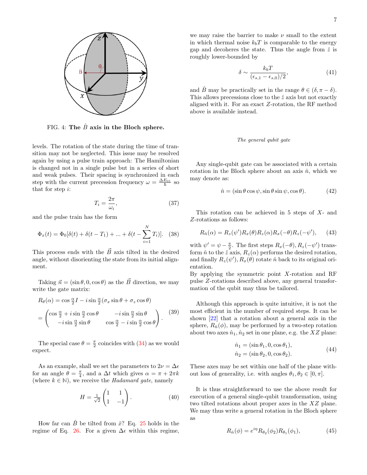

<span id="page-8-0"></span>FIG. 4: The  $\ddot{B}$  axis in the Bloch sphere.

levels. The rotation of the state during the time of transition may not be neglected. This issue may be resolved again by using a pulse train approach: The Hamiltonian is changed not in a single pulse but in a series of short and weak pulses. Their spacing is synchronized in each step with the current precession frequency  $\omega = \frac{\Delta E_{01}}{\hbar}$  so that for step i:

$$
T_i = \frac{2\pi}{\omega_i},\tag{37}
$$

and the pulse train has the form

$$
\Phi_x(t) = \Phi_0[\delta(t) + \delta(t - T_1) + \dots + \delta(t - \sum_{i=1}^N T_i)].
$$
 (38)

This process ends with the  $\vec{B}$  axis tilted in the desired angle, without disorienting the state from its initial alignment.

Taking  $\vec{n} = (\sin \theta, 0, \cos \theta)$  as the  $\vec{B}$  direction, we may write the gate matrix:

$$
R_{\theta}(\alpha) = \cos \frac{\alpha}{2} I - i \sin \frac{\alpha}{2} (\sigma_x \sin \theta + \sigma_z \cos \theta)
$$
  
= 
$$
\begin{pmatrix} \cos \frac{\alpha}{2} + i \sin \frac{\alpha}{2} \cos \theta & -i \sin \frac{\alpha}{2} \sin \theta \\ -i \sin \frac{\alpha}{2} \sin \theta & \cos \frac{\alpha}{2} - i \sin \frac{\alpha}{2} \cos \theta \end{pmatrix}.
$$
 (39)

The special case  $\theta = \frac{\pi}{2}$  coincides with [\(34\)](#page-7-1) as we would expect.

As an example, shall we set the parameters to  $2\nu = \Delta \epsilon$ for an angle  $\theta = \frac{\pi}{4}$ , and a  $\Delta t$  which gives  $\alpha = \pi + 2\pi k$ (where  $k \in \mathbb{N}$ ), we receive the *Hadamard gate*, namely

<span id="page-8-1"></span>
$$
H = \frac{1}{\sqrt{2}} \begin{pmatrix} 1 & 1 \\ 1 & -1 \end{pmatrix} . \tag{40}
$$

How far can  $\hat{B}$  be tilted from  $\hat{x}$ ? Eq. [25](#page-5-1) holds in the regime of Eq. [26.](#page-5-3) For a given  $\Delta \epsilon$  within this regime,

we may raise the barrier to make  $\nu$  small to the extent in which thermal noise  $k_bT$  is comparable to the energy gap and decoheres the state. Thus the angle from  $\hat{z}$  is roughly lower-bounded by

$$
\delta \sim \frac{k_b T}{(\epsilon_{s,1} - \epsilon_{s,0})/2},\tag{41}
$$

and B may be practically set in the range  $\theta \in (\delta, \pi - \delta)$ . This allows precessions close to the  $\hat{z}$  axis but not exactly aligned with it. For an exact Z-rotation, the RF method above is available instead.

### The general qubit gate

Any single-qubit gate can be associated with a certain rotation in the Bloch sphere about an axis  $\hat{n}$ , which we may denote as:

$$
\hat{n} = (\sin \theta \cos \psi, \sin \theta \sin \psi, \cos \theta). \tag{42}
$$

This rotation can be achieved in 5 steps of X- and Z-rotations as follows:

$$
R_{\hat{n}}(\alpha) = R_z(\psi')R_x(\theta)R_z(\alpha)R_x(-\theta)R_z(-\psi'), \quad (43)
$$

with  $\psi' = \psi - \frac{\pi}{2}$ . The first steps  $R_x(-\theta), R_z(-\psi')$  transform  $\hat{n}$  to the  $\hat{z}$  axis,  $R_z(\alpha)$  performs the desired rotation, and finally  $R_z(\psi'), R_x(\theta)$  rotate  $\hat{n}$  back to its original orientation.

By applying the symmetric point  $X$ -rotation and RF pulse Z-rotations described above, any general transformation of the qubit may thus be tailored.

Although this approach is quite intuitive, it is not the most efficient in the number of required steps. It can be shown [\[22\]](#page-18-16) that a rotation about a general axis in the sphere,  $R_{\hat{n}}(\phi)$ , may be performed by a two-step rotation about two axes  $\hat{n}_1, \hat{n}_2$  set in one plane, e.g. the XZ plane:

$$
\hat{n}_1 = (\sin \theta_1, 0, \cos \theta_1), \n\hat{n}_2 = (\sin \theta_2, 0, \cos \theta_2).
$$
\n(44)

These axes may be set within one half of the plane without loss of generality, i.e. with angles  $\theta_1, \theta_2 \in [0, \pi]$ .

It is thus straightforward to use the above result for execution of a general single-qubit transformation, using two tilted rotations about proper axes in the XZ plane. We may thus write a general rotation in the Bloch sphere as

$$
R_{\hat{n}}(\phi) = e^{i\eta} R_{\theta_2}(\phi_2) R_{\theta_1}(\phi_1), \tag{45}
$$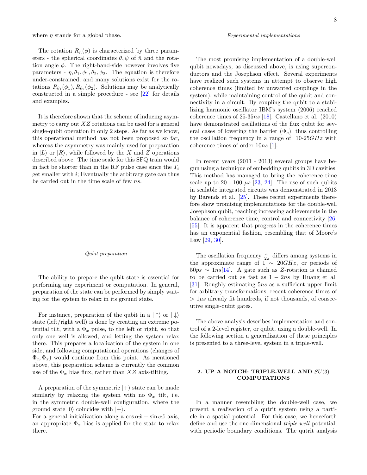where  $\eta$  stands for a global phase.

The rotation  $R_{\hat{n}}(\phi)$  is characterized by three parameters - the spherical coordinates  $\theta, \psi$  of  $\hat{n}$  and the rotation angle  $\phi$ . The right-hand-side however involves five parameters -  $\eta$ ,  $\theta_1$ ,  $\phi_1$ ,  $\theta_2$ ,  $\phi_2$ . The equation is therefore under-constrained, and many solutions exist for the rotations  $R_{\theta_1}(\phi_1), R_{\theta_2}(\phi_2)$ . Solutions may be analytically constructed in a simple procedure - see [\[22\]](#page-18-16) for details and examples.

It is therefore shown that the scheme of inducing asymmetry to carry out  $XZ$  rotations can be used for a general single-qubit operation in only 2 steps. As far as we know, this operational method has not been proposed so far, whereas the asymmetry was mainly used for preparation in  $|L\rangle$  or  $|R\rangle$ , while followed by the X and Z operations described above. The time scale for this SFQ train would in fact be shorter than in the RF pulse case since the  $T_i$ get smaller with  $i$ ; Eventually the arbitrary gate can thus be carried out in the time scale of few ns.

### Qubit preparation

The ability to prepare the qubit state is essential for performing any experiment or computation. In general, preparation of the state can be performed by simply waiting for the system to relax in its ground state.

For instance, preparation of the qubit in a  $|\uparrow\rangle$  or  $|\downarrow\rangle$ state (left/right well) is done by creating an extreme potential tilt, with a  $\Phi_x$  pulse, to the left or right, so that only one well is allowed, and letting the system relax there. This prepares a localization of the system in one side, and following computational operations (changes of  $\Phi_c, \Phi_x$ ) would continue from this point. As mentioned above, this preparation scheme is currently the common use of the  $\Phi_x$  bias flux, rather than XZ axis-tilting.

A preparation of the symmetric  $|+\rangle$  state can be made similarly by relaxing the system with no  $\Phi_x$  tilt, i.e. in the symmetric double-well configuration, where the ground state  $|0\rangle$  coincides with  $|+\rangle$ .

For a general initialization along a  $\cos \alpha \hat{x} + \sin \alpha \hat{z}$  axis, an appropriate  $\Phi_x$  bias is applied for the state to relax there.

### Experimental implementations

The most promising implementation of a double-well qubit nowadays, as discussed above, is using superconductors and the Josephson effect. Several experiments have realized such systems in attempt to observe high coherence times (limited by unwanted couplings in the system), while maintaining control of the qubit and connectivity in a circuit. By coupling the qubit to a stabilizing harmonic oscillator IBM's system (2006) reached coherence times of  $25-35ns$  [\[18\]](#page-18-13). Castellano et al. (2010) have demonstrated oscillations of the flux qubit for several cases of lowering the barrier  $(\Phi_c)$ , thus controlling the oscillation frequency in a range of  $10-25GHz$  with coherence times of order 10ns [\[1\]](#page-17-0).

In recent years (2011 - 2013) several groups have begun using a technique of embedding qubits in 3D cavities. This method has managed to bring the coherence time scale up to 20 - 100  $\mu s$  [\[23,](#page-18-17) [24\]](#page-18-18). The use of such qubits in scalable integrated circuits was demonstrated in 2013 by Barends et al. [\[25\]](#page-18-19). These recent experiments therefore show promising implementations for the double-well Josephson qubit, reaching increasing achievements in the balance of coherence time, control and connectivity [\[26\]](#page-18-20) [\[55\]](#page-19-7). It is apparent that progress in the coherence times has an exponential fashion, resembling that of Moore's Law [\[29,](#page-18-21) [30\]](#page-18-22).

The oscillation frequency  $\frac{\omega}{2\pi}$  differs among systems in the approximate range of  $1 \sim 20 GHz$ , or periods of  $50ps \sim 1ns[14]$  $50ps \sim 1ns[14]$ . A gate such as Z-rotation is claimed to be carried out as fast as  $1 - 2ns$  by Huang et al. [\[31\]](#page-18-23). Roughly estimating 5ns as a sufficient upper limit for arbitrary transformations, recent coherence times of  $> 1\mu s$  already fit hundreds, if not thousands, of consecutive single-qubit gates.

The above analysis describes implementation and control of a 2-level register, or qubit, using a double-well. In the following section a generalization of these principles is presented to a three-level system in a triple-well.

### 2. UP A NOTCH: TRIPLE-WELL AND  $SU(3)$ COMPUTATIONS

In a manner resembling the double-well case, we present a realisation of a qutrit system using a particle in a spatial potential. For this case, we henceforth define and use the one-dimensional triple-well potential, with periodic boundary conditions. The qutrit analysis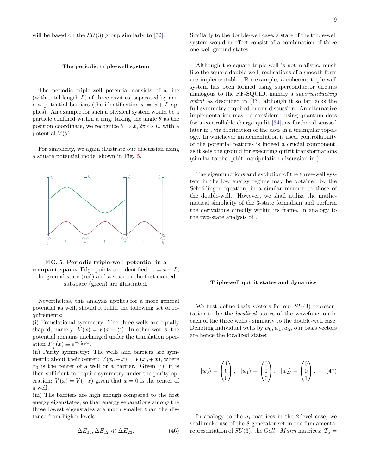### The periodic triple-well system

The periodic triple-well potential consists of a line (with total length  $L$ ) of three cavities, separated by narrow potential barriers (the identification  $x = x + L$  applies). An example for such a physical system would be a particle confined within a ring; taking the angle  $\theta$  as the position coordinate, we recognize  $\theta \Leftrightarrow x, 2\pi \Leftrightarrow L$ , with a potential  $V(\theta)$ .

For simplicity, we again illustrate our discussion using a square potential model shown in Fig. [5.](#page-10-0)



<span id="page-10-0"></span>FIG. 5: Periodic triple-well potential in a compact space. Edge points are identified:  $x = x + L$ ; the ground state (red) and a state in the first excited subspace (green) are illustrated.

Nevertheless, this analysis applies for a more general potential as well, should it fulfill the following set of requirements:

(i) Translational symmetry: The three wells are equally shaped, namely:  $V(x) = V(x + \frac{L}{3})$ . In other words, the potential remains unchanged under the translation operation  $T_{\frac{L}{3}}(x) \equiv e^{-i\frac{L}{3}px}$ .

(ii) Parity symmetry: The wells and barriers are symmetric about their center:  $V(x_0 - x) = V(x_0 + x)$ , where  $x_0$  is the center of a well or a barrier. Given (i), it is then sufficient to require symmetry under the parity operation:  $V(x) = V(-x)$  given that  $x = 0$  is the center of a well.

(iii) The barriers are high enough compared to the first energy eigenstates, so that energy separations among the three lowest eigenstates are much smaller than the distance from higher levels:

$$
\Delta E_{01}, \Delta E_{12} \ll \Delta E_{23}.\tag{46}
$$

Similarly to the double-well case, a state of the triple-well system would in effect consist of a combination of three one-well ground states.

Although the square triple-well is not realistic, much like the square double-well, realisations of a smooth form are implementable. For example, a coherent triple-well system has been formed using superconductor circuits analogous to the RF-SQUID, namely a superconducting qutrit as described in  $[33]$ , although it so far lacks the full symmetry required in our discussion. An alternative implementation may be considered using quantum dots for a controllable charge qudit [\[34\]](#page-18-26), as further discussed later in [,](#page-14-0) via fabrication of the dots in a triangular topology. In whichever implementation is used, controllability of the potential features is indeed a crucial component, as it sets the ground for executing qutrit transformations (similar to the qubit manipulation discussion in [\)](#page-4-3).

The eigenfunctions and evolution of the three-well system in the low energy regime may be obtained by the Schrödinger equation, in a similar manner to those of the double-well. However, we shall utilize the mathematical simplicity of the 3-state formalism and perform the derivations directly within its frame, in analogy to the two-state analysis of [.](#page-3-4)

### Triple-well qutrit states and dynamics

We first define basis vectors for our  $SU(3)$  representation to be the localized states of the wavefunction in each of the three wells - similarly to the double-well case. Denoting individual wells by  $w_0, w_1, w_2$ , our basis vectors are hence the localized states:

$$
|w_0\rangle = \begin{pmatrix} 1 \\ 0 \\ 0 \end{pmatrix}, \quad |w_1\rangle = \begin{pmatrix} 0 \\ 1 \\ 0 \end{pmatrix}, \quad |w_2\rangle = \begin{pmatrix} 0 \\ 0 \\ 1 \end{pmatrix}.
$$
 (47)

In analogy to the  $\sigma_i$  matrices in the 2-level case, we shall make use of the 8-generator set in the fundamental representation of  $SU(3)$ , the Gell–Mann matrices:  $T_a =$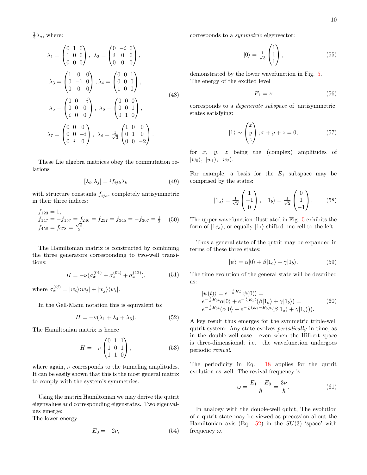$\frac{1}{2}\lambda_a$ , where:

$$
\lambda_1 = \begin{pmatrix} 0 & 1 & 0 \\ 1 & 0 & 0 \\ 0 & 0 & 0 \end{pmatrix}, \ \lambda_2 = \begin{pmatrix} 0 & -i & 0 \\ i & 0 & 0 \\ 0 & 0 & 0 \end{pmatrix},
$$

$$
\lambda_3 = \begin{pmatrix} 1 & 0 & 0 \\ 0 & -1 & 0 \\ 0 & 0 & 0 \end{pmatrix}, \lambda_4 = \begin{pmatrix} 0 & 0 & 1 \\ 0 & 0 & 0 \\ 1 & 0 & 0 \end{pmatrix},
$$

$$
\lambda_5 = \begin{pmatrix} 0 & 0 & -i \\ 0 & 0 & 0 \\ i & 0 & 0 \end{pmatrix}, \ \lambda_6 = \begin{pmatrix} 0 & 0 & 0 \\ 0 & 0 & 1 \\ 0 & 1 & 0 \end{pmatrix},
$$

$$
\lambda_7 = \begin{pmatrix} 0 & 0 & 0 \\ 0 & 0 & -i \\ 0 & i & 0 \end{pmatrix}, \ \lambda_8 = \frac{1}{\sqrt{3}} \begin{pmatrix} 1 & 0 & 0 \\ 0 & 1 & 0 \\ 0 & 0 & -2 \end{pmatrix}.
$$
 (48)

These Lie algebra matrices obey the commutation relations

$$
[\lambda_i, \lambda_j] = i f_{ijk} \lambda_k \tag{49}
$$

with structure constants  $f_{ijk}$ , completely antisymmetric in their three indices:

$$
f_{123} = 1,
$$
  
\n $f_{147} = -f_{157} = f_{246} = f_{257} = f_{345} = -f_{367} = \frac{1}{2},$  (50)  
\n $f_{458} = f_{678} = \frac{\sqrt{3}}{2}.$ 

The Hamiltonian matrix is constructed by combining the three generators corresponding to two-well transitions:

$$
H = -\nu(\sigma_x^{(01)} + \sigma_x^{(02)} + \sigma_x^{(12)}),\tag{51}
$$

where  $\sigma_x^{(ij)} = |w_i\rangle\langle w_j| + |w_j\rangle\langle w_i|$ .

In the Gell-Mann notation this is equivalent to:

<span id="page-11-0"></span>
$$
H = -\nu(\lambda_1 + \lambda_4 + \lambda_6). \tag{52}
$$

The Hamiltonian matrix is hence

$$
H = -\nu \begin{pmatrix} 0 & 1 & 1 \\ 1 & 0 & 1 \\ 1 & 1 & 0 \end{pmatrix}, \tag{53}
$$

where again,  $\nu$  corresponds to the tunneling amplitudes. It can be easily shown that this is the most general matrix to comply with the system's symmetries.

Using the matrix Hamiltonian we may derive the qutrit eigenvalues and corresponding eigenstates. Two eigenvalues emerge:

The lower energy

$$
E_0 = -2\nu,\t\t(54)
$$

corresponds to a symmetric eigenvector:

$$
|0\rangle = \frac{1}{\sqrt{3}} \begin{pmatrix} 1 \\ 1 \\ 1 \end{pmatrix}, \qquad (55)
$$

demonstrated by the lower wavefunction in Fig. [5.](#page-10-0) The energy of the excited level

$$
E_1 = \nu \tag{56}
$$

corresponds to a degenerate subspace of 'antisymmetric' states satisfying:

$$
|1\rangle \sim \begin{pmatrix} x \\ y \\ z \end{pmatrix}; x + y + z = 0,
$$
 (57)

for  $x$ ,  $y$ ,  $z$  being the (complex) amplitudes of  $|w_0\rangle, |w_1\rangle, |w_2\rangle.$ 

For example, a basis for the  $E_1$  subspace may be comprised by the states:

<span id="page-11-1"></span>
$$
|1_a\rangle = \frac{1}{\sqrt{2}} \begin{pmatrix} 1 \\ -1 \\ 0 \end{pmatrix}, \quad |1_b\rangle = \frac{1}{\sqrt{2}} \begin{pmatrix} 0 \\ 1 \\ -1 \end{pmatrix}.
$$
 (58)

The upper wavefunction illustrated in Fig. [5](#page-10-0) exhibits the form of  $|1c_a\rangle$ , or equally  $|1_b\rangle$  shifted one cell to the left.

Thus a general state of the qutrit may be expanded in terms of these three states:

$$
|\psi\rangle = \alpha|0\rangle + \beta|1_a\rangle + \gamma|1_b\rangle. \tag{59}
$$

The time evolution of the general state will be described as:

$$
\begin{aligned} |\psi(t)\rangle &= e^{-\frac{i}{\hbar}Ht} |\psi(0)\rangle = \\ e^{-\frac{i}{\hbar}E_0t} \alpha |0\rangle + e^{-\frac{i}{\hbar}E_1t} (\beta |1_a\rangle + \gamma |1_b\rangle) = \\ e^{-\frac{i}{\hbar}E_0t} (\alpha |0\rangle + e^{-\frac{i}{\hbar}(E_1 - E_0)t} (\beta |1_a\rangle + \gamma |1_b\rangle)). \end{aligned} \tag{60}
$$

A key result thus emerges for the symmetric triple-well qutrit system: Any state evolves periodically in time, as in the double-well case - even when the Hilbert space is three-dimensional; i.e. the wavefunction undergoes periodic revival.

The periodicity in Eq. [18](#page-4-4) applies for the qutrit evolution as well. The revival frequency is

$$
\omega = \frac{E_1 - E_0}{\hbar} = \frac{3\nu}{\hbar}.\tag{61}
$$

In analogy with the double-well qubit, The evolution of a qutrit state may be viewed as precession about the Hamiltonian axis (Eq. [52\)](#page-11-0) in the  $SU(3)$  'space' with frequency  $\omega$ .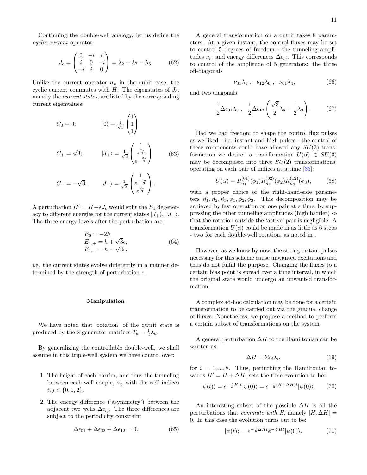Continuing the double-well analogy, let us define the cyclic current operator:

<span id="page-12-1"></span>
$$
J_c = \begin{pmatrix} 0 & -i & i \\ i & 0 & -i \\ -i & i & 0 \end{pmatrix} = \lambda_2 + \lambda_7 - \lambda_5.
$$
 (62)

Unlike the current operator  $\sigma_y$  in the qubit case, the cyclic current commutes with H. The eigenstates of  $J_c$ , namely the current states, are listed by the corresponding current eigenvalues:

<span id="page-12-0"></span>
$$
C_0 = 0; \t|0\rangle = \frac{1}{\sqrt{3}} \begin{pmatrix} 1 \\ 1 \\ 1 \end{pmatrix}
$$
  
\n
$$
C_+ = \sqrt{3}; \t|J_+\rangle = \frac{1}{\sqrt{3}} \begin{pmatrix} 1 \\ e^{\frac{2\pi}{3}} \\ e^{-\frac{2\pi}{3}} \end{pmatrix}
$$
(63)  
\n
$$
C_- = -\sqrt{3}; \t|J_-\rangle = \frac{1}{\sqrt{3}} \begin{pmatrix} 1 \\ e^{-\frac{2\pi}{3}} \\ e^{\frac{2\pi}{3}} \end{pmatrix}.
$$

A perturbation  $H' = H + \epsilon J_c$  would split the  $E_1$  degeneracy to different energies for the current states  $|J_{+}\rangle$ ,  $|J_{-}\rangle$ . The three energy levels after the perturbation are:

$$
E_0 = -2h \nE_{1,+} = h + \sqrt{3}\epsilon, \nE_{1,-} = h - \sqrt{3}\epsilon,
$$
\n(64)

i.e. the current states evolve differently in a manner determined by the strength of perturbation  $\epsilon$ .

### Manipulation

We have noted that 'rotation' of the qutrit state is produced by the 8 generator matrices  $T_a = \frac{1}{2}\lambda_a$ .

By generalizing the controllable double-well, we shall assume in this triple-well system we have control over:

- 1. The height of each barrier, and thus the tunneling between each well couple,  $\nu_{ij}$  with the well indices  $i, j \in \{0, 1, 2\}.$
- 2. The energy difference ('asymmetry') between the adjacent two wells  $\Delta \epsilon_{ij}$ . The three differences are subject to the periodicity constraint

$$
\Delta \epsilon_{01} + \Delta \epsilon_{02} + \Delta \epsilon_{12} = 0. \tag{65}
$$

A general transformation on a qutrit takes 8 parameters. At a given instant, the control fluxes may be set to control 5 degrees of freedom - the tunneling amplitudes  $\nu_{ij}$  and energy differences  $\Delta \epsilon_{ij}$ . This corresponds to control of the amplitude of 5 generators: the three off-diagonals

$$
\nu_{01}\lambda_1 \; , \; \nu_{12}\lambda_6 \; , \; \nu_{01}\lambda_4 \; , \; \tag{66}
$$

and two diagonals

$$
\frac{1}{2}\Delta\epsilon_{01}\lambda_3 \ , \ \frac{1}{2}\Delta\epsilon_{12}\left(\frac{\sqrt{3}}{2}\lambda_8 - \frac{1}{2}\lambda_3\right). \tag{67}
$$

Had we had freedom to shape the control flux pulses as we liked - i.e. instant and high pulses - the control of these components could have allowed any  $SU(3)$  transformation we desire: a transformation  $U(\vec{\alpha}) \in SU(3)$ may be decomposed into three  $SU(2)$  transformations, operating on each pair of indices at a time [\[35\]](#page-18-27):

$$
U(\vec{\alpha}) = R_{\vec{n}_1}^{(01)}(\phi_1) R_{\vec{n}_2}^{(02)}(\phi_2) R_{\vec{n}_3}^{(12)}(\phi_3),
$$
 (68)

with a proper choice of the right-hand-side parameters  $\vec{n}_1, \vec{n}_2, \vec{n}_3, \phi_1, \phi_2, \phi_3$ . This decomposition may be achieved by fast operation on one pair at a time, by suppressing the other tunneling amplitudes (high barrier) so that the rotation outside the 'active' pair is negligible. A transformation  $U(\vec{\alpha})$  could be made in as little as 6 steps - two for each double-well rotation, as noted in [.](#page-4-3)

However, as we know by now, the strong instant pulses necessary for this scheme cause unwanted excitations and thus do not fulfill the purpose. Changing the fluxes to a certain bias point is spread over a time interval, in which the original state would undergo an unwanted transformation.

A complex ad-hoc calculation may be done for a certain transformation to be carried out via the gradual change of fluxes. Nonetheless, we propose a method to perform a certain subset of transformations on the system.

A general perturbation  $\Delta H$  to the Hamiltonian can be written as

$$
\Delta H = \Sigma \epsilon_i \lambda_i,\tag{69}
$$

for  $i = 1, \ldots, 8$ . Thus, perturbing the Hamiltonian towards  $H' = H + \Delta H$ , sets the time evolution to be:

$$
|\psi(t)\rangle = e^{-\frac{i}{\hbar}H't}|\psi(0)\rangle = e^{-\frac{i}{\hbar}(H+\Delta H)t}|\psi(0)\rangle.
$$
 (70)

An interesting subset of the possible  $\Delta H$  is all the perturbations that *commute with* H, namely  $[H, \Delta H] =$ 0. In this case the evolution turns out to be:

$$
|\psi(t)\rangle = e^{-\frac{i}{\hbar}\Delta Ht}e^{-\frac{i}{\hbar}Ht}|\psi(0)\rangle.
$$
 (71)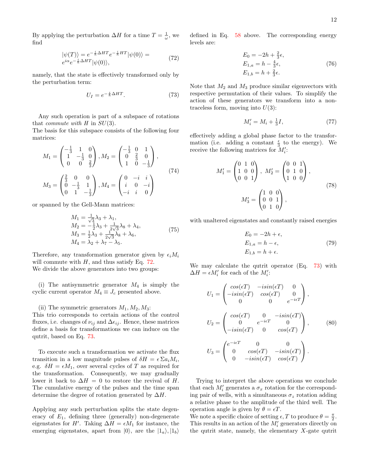By applying the perturbation  $\Delta H$  for a time  $T = \frac{1}{\omega}$ , we find

<span id="page-13-0"></span>
$$
|\psi(T)\rangle = e^{-\frac{i}{\hbar}\Delta HT}e^{-\frac{i}{\hbar}HT}|\psi(0)\rangle = e^{i\alpha}e^{-\frac{i}{\hbar}\Delta HT}|\psi(0)\rangle,
$$
\n(72)

namely, that the state is effectively transformed only by the perturbation term:

<span id="page-13-1"></span>
$$
U_I = e^{-\frac{i}{\hbar}\Delta HT}.\tag{73}
$$

Any such operation is part of a subspace of rotations that *commute with*  $H$  in  $SU(3)$ .

The basis for this subspace consists of the following four matrices:

$$
M_1 = \begin{pmatrix} -\frac{1}{3} & 1 & 0 \\ 1 & -\frac{1}{3} & 0 \\ 0 & 0 & \frac{2}{3} \end{pmatrix}, M_2 = \begin{pmatrix} -\frac{1}{3} & 0 & 1 \\ 0 & \frac{2}{3} & 0 \\ 1 & 0 & -\frac{1}{3} \end{pmatrix},
$$
  
\n
$$
M_3 = \begin{pmatrix} \frac{2}{3} & 0 & 0 \\ 0 & -\frac{1}{3} & 1 \\ 0 & 1 & -\frac{1}{3} \end{pmatrix}, M_4 = \begin{pmatrix} 0 & -i & i \\ i & 0 & -i \\ -i & i & 0 \end{pmatrix}
$$
\n(74)

or spanned by the Gell-Mann matrices:

$$
M_1 = \frac{1}{\sqrt{3}} \lambda_3 + \lambda_1, M_2 = -\frac{1}{2} \lambda_3 + \frac{1}{2\sqrt{3}} \lambda_8 + \lambda_4, M_3 = \frac{1}{2} \lambda_3 + \frac{1}{2\sqrt{3}} \lambda_8 + \lambda_6, M_4 = \lambda_2 + \lambda_7 - \lambda_5.
$$
 (75)

Therefore, any transformation generator given by  $\epsilon_i M_i$ will commute with  $H$ , and thus satisfy Eq. [72.](#page-13-0) We divide the above generators into two groups:

(i) The antisymmetric generator  $M_4$  is simply the cyclic current operator  $M_4 \equiv J_c$  presented above.

(ii) The symmetric generators  $M_1, M_2, M_3$ : This trio corresponds to certain actions of the control fluxes, i.e. changes of  $\nu_{ij}$  and  $\Delta \epsilon_{ij}$ . Hence, these matrices define a basis for transformations we can induce on the qutrit, based on Eq. [73.](#page-13-1)

To execute such a transformation we activate the flux transition in a low magnitude pulses of  $\delta H = \epsilon \sum a_i M_i$ , e.g.  $\delta H = \epsilon M_1$ , over several cycles of T as required for the transformation. Consequently, we may gradually lower it back to  $\Delta H = 0$  to restore the revival of H. The cumulative energy of the pulses and the time span determine the degree of rotation generated by  $\Delta H$ .

Applying any such perturbation splits the state degeneracy of  $E_1$ , defining three (generally) non-degenerate eigenstates for H'. Taking  $\Delta H = \epsilon M_1$  for instance, the emerging eigenstates, apart from  $|0\rangle$ , are the  $|1_a\rangle, |1_b\rangle$ 

defined in Eq. [58](#page-11-1) above. The corresponding energy levels are:

$$
E_0 = -2h + \frac{2}{3}\epsilon,
$$
  
\n
$$
E_{1,a} = h - \frac{4}{3}\epsilon,
$$
  
\n
$$
E_{1,b} = h + \frac{2}{3}\epsilon.
$$
\n(76)

Note that  $M_2$  and  $M_3$  produce similar eigenvectors with respective permutation of their values. To simplify the action of these generators we transform into a nontraceless form, moving into  $U(3)$ :

$$
M_i' = M_i + \frac{1}{3}I,\tag{77}
$$

effectively adding a global phase factor to the transformation (i.e. adding a constant  $\frac{\epsilon}{3}$  to the energy). We receive the following matrices for  $M_i'$ :

$$
M'_1 = \begin{pmatrix} 0 & 1 & 0 \\ 1 & 0 & 0 \\ 0 & 0 & 1 \end{pmatrix}, M'_2 = \begin{pmatrix} 0 & 0 & 1 \\ 0 & 1 & 0 \\ 1 & 0 & 0 \end{pmatrix},
$$
  

$$
M'_3 = \begin{pmatrix} 1 & 0 & 0 \\ 0 & 0 & 1 \\ 0 & 1 & 0 \end{pmatrix},
$$
 (78)

with unaltered eigenstates and constantly raised energies

$$
E_0 = -2h + \epsilon,
$$
  
\n
$$
E_{1,a} = h - \epsilon,
$$
  
\n
$$
E_{1,b} = h + \epsilon.
$$
\n(79)

We may calculate the qutrit operator (Eq. [73\)](#page-13-1) with  $\Delta H = \epsilon M'_i$  for each of the  $M'_i$ :

$$
U_1 = \begin{pmatrix} \cos(\epsilon T) & -i\sin(\epsilon T) & 0\\ -i\sin(\epsilon T) & \cos(\epsilon T) & 0\\ 0 & 0 & e^{-i\epsilon T} \end{pmatrix},
$$
  
\n
$$
U_2 = \begin{pmatrix} \cos(\epsilon T) & 0 & -i\sin(\epsilon T)\\ 0 & e^{-i\epsilon T} & 0\\ -i\sin(\epsilon T) & 0 & \cos(\epsilon T) \end{pmatrix},
$$
  
\n
$$
U_3 = \begin{pmatrix} e^{-i\epsilon T} & 0 & 0\\ 0 & \cos(\epsilon T) & -i\sin(\epsilon T)\\ 0 & -i\sin(\epsilon T) & \cos(\epsilon T) \end{pmatrix}.
$$
  
\n(80)

Trying to interpret the above operations we conclude that each  $M_i'$  generates a  $\sigma_x$  rotation for the corresponding pair of wells, with a simultaneous  $\sigma_z$  rotation adding a relative phase to the amplitude of the third well. The operation angle is given by  $\theta = \epsilon T$ .

We note a specific choice of setting  $\epsilon$ , T to produce  $\theta = \frac{\pi}{2}$ . This results in an action of the  $M_i'$  generators directly on the qutrit state, namely, the elementary  $X$ -gate qutrit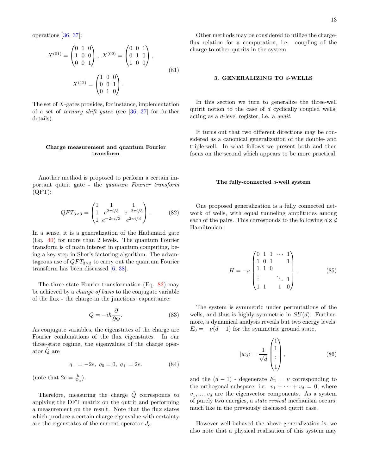operations [\[36,](#page-18-28) [37\]](#page-18-29):

$$
X^{(01)} = \begin{pmatrix} 0 & 1 & 0 \\ 1 & 0 & 0 \\ 0 & 0 & 1 \end{pmatrix}, X^{(02)} = \begin{pmatrix} 0 & 0 & 1 \\ 0 & 1 & 0 \\ 1 & 0 & 0 \end{pmatrix},
$$
  

$$
X^{(12)} = \begin{pmatrix} 1 & 0 & 0 \\ 0 & 0 & 1 \\ 0 & 1 & 0 \end{pmatrix}.
$$
 (81)

The set of X-gates provides, for instance, implementation of a set of ternary shift gates (see [\[36,](#page-18-28) [37\]](#page-18-29) for further details).

### Charge measurement and quantum Fourier transform

Another method is proposed to perform a certain important qutrit gate - the quantum Fourier transform (QFT):

<span id="page-14-1"></span>
$$
QFT_{3\times3} = \begin{pmatrix} 1 & 1 & 1 \\ 1 & e^{2\pi i/3} & e^{-2\pi i/3} \\ 1 & e^{-2\pi i/3} & e^{2\pi i/3} \end{pmatrix} . \tag{82}
$$

In a sense, it is a generalization of the Hadamard gate (Eq. [40\)](#page-8-1) for more than 2 levels. The quantum Fourier transform is of main interest in quantum computing, being a key step in Shor's factoring algorithm. The advantageous use of  $QFT_{3\times 3}$  to carry out the quantum Fourier transform has been discussed [\[6,](#page-18-1) [38\]](#page-18-30).

The three-state Fourier transformation (Eq. [82\)](#page-14-1) may be achieved by a change of basis to the conjugate variable of the flux - the charge in the junctions' capacitance:

$$
Q = -i\hbar \frac{\partial}{\partial \Phi}.\tag{83}
$$

As conjugate variables, the eigenstates of the charge are Fourier combinations of the flux eigenstates. In our three-state regime, the eigenvalues of the charge operator  $\tilde{Q}$  are

$$
q_{-} = -2e, \ q_0 = 0, \ q_{+} = 2e. \tag{84}
$$

(note that  $2e = \frac{h}{\Phi_0}$ ).

Therefore, measuring the charge  $\hat{Q}$  corresponds to applying the DFT matrix on the qutrit and performing a measurement on the result. Note that the flux states which produce a certain charge eigenvalue with certainty are the eigenstates of the current operator  $J_c$ .

Other methods may be considered to utilize the chargeflux relation for a computation, i.e. coupling of the charge to other qutrits in the system.

### <span id="page-14-0"></span>3. GENERALIZING TO d-WELLS

In this section we turn to generalize the three-well qutrit notion to the case of  $d$  cyclically coupled wells, acting as a d-level register, i.e. a qudit.

It turns out that two different directions may be considered as a canonical generalization of the double- and triple-well. In what follows we present both and then focus on the second which appears to be more practical.

### The fully-connected  $d$ -well system

One proposed generalization is a fully connected network of wells, with equal tunneling amplitudes among each of the pairs. This corresponds to the following  $d \times d$ Hamiltonian:

$$
H = -\nu \begin{pmatrix} 0 & 1 & 1 & \cdots & 1 \\ 1 & 0 & 1 & & 1 \\ 1 & 1 & 0 & & \\ \vdots & & \ddots & 1 & \\ 1 & 1 & & 1 & 0 \end{pmatrix} . \tag{85}
$$

The system is symmetric under permutations of the wells, and thus is highly symmetric in  $SU(d)$ . Furthermore, a dynamical analysis reveals but two energy levels:  $E_0 = -\nu(d-1)$  for the symmetric ground state,

$$
|w_0\rangle = \frac{1}{\sqrt{d}} \begin{pmatrix} 1 \\ 1 \\ \vdots \\ 1 \end{pmatrix},
$$
 (86)

and the  $(d-1)$  - degenerate  $E_1 = \nu$  corresponding to the orthogonal subspace, i.e.  $v_1 + \cdots + v_d = 0$ , where  $v_1, \ldots, v_d$  are the eigenvector components. As a system of purely two energies, a state revival mechanism occurs, much like in the previously discussed qutrit case.

However well-behaved the above generalization is, we also note that a physical realisation of this system may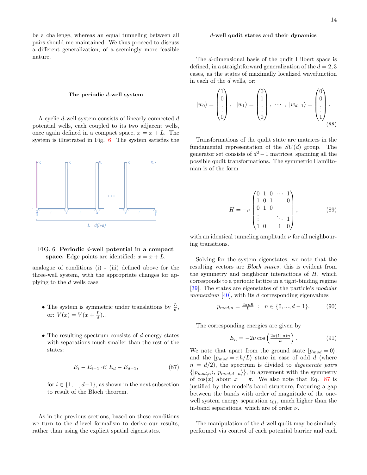be a challenge, whereas an equal tunneling between all pairs should me maintained. We thus proceed to discuss a different generalization, of a seemingly more feasible nature.

### The periodic d-well system

A cyclic d-well system consists of linearly connected d potential wells, each coupled to its two adjacent wells, once again defined in a compact space,  $x = x + L$ . The system is illustrated in Fig. [6.](#page-15-0) The system satisfies the



### <span id="page-15-0"></span>FIG. 6: Periodic d-well potential in a compact space. Edge points are identified:  $x = x + L$ .

analogue of conditions (i) - (iii) defined above for the three-well system, with the appropriate changes for applying to the d wells case:

- The system is symmetric under translations by  $\frac{L}{d}$ , or:  $V(x) = V(x + \frac{L}{d})$ ..
- The resulting spectrum consists of  $d$  energy states with separations much smaller than the rest of the states:

<span id="page-15-1"></span>
$$
E_i - E_{i-1} \ll E_d - E_{d-1},\tag{87}
$$

for  $i \in \{1, ..., d-1\}$ , as shown in the next subsection to result of the Bloch theorem.

As in the previous sections, based on these conditions we turn to the d-level formalism to derive our results, rather than using the explicit spatial eigenstates.

### d-well qudit states and their dynamics

The d-dimensional basis of the qudit Hilbert space is defined, in a straightforward generalization of the  $d = 2, 3$ cases, as the states of maximally localized wavefunction in each of the d wells, or:

$$
|w_0\rangle = \begin{pmatrix} 1 \\ 0 \\ \vdots \\ 0 \end{pmatrix}, \quad |w_1\rangle = \begin{pmatrix} 0 \\ 1 \\ \vdots \\ 0 \end{pmatrix}, \quad \cdots, \quad |w_{d-1}\rangle = \begin{pmatrix} 0 \\ 0 \\ \vdots \\ 1 \end{pmatrix}.
$$
 (88)

Transformations of the qudit state are matrices in the fundamental representation of the  $SU(d)$  group. The generator set consists of  $d^2-1$  matrices, spanning all the possible qudit transformations. The symmetric Hamiltonian is of the form

$$
H = -\nu \begin{pmatrix} 0 & 1 & 0 & \cdots & 1 \\ 1 & 0 & 1 & & 0 \\ 0 & 1 & 0 & & \\ \vdots & & & \ddots & 1 \\ 1 & 0 & & 1 & 0 \end{pmatrix}, \tag{89}
$$

with an identical tunneling amplitude  $\nu$  for all neighbouring transitions.

Solving for the system eigenstates, we note that the resulting vectors are Bloch states; this is evident from the symmetry and neighbour interactions of  $H$ , which corresponds to a periodic lattice in a tight-binding regime [\[39\]](#page-18-31). The states are eigenstates of the particle's modular *momentum* [\[40\]](#page-18-32), with its d corresponding eigenvalues

$$
p_{mod,n} = \frac{2\pi n\hbar}{L} \; ; \; n \in \{0, ..., d-1\}. \tag{90}
$$

The corresponding energies are given by

<span id="page-15-2"></span>
$$
E_n = -2\nu \cos\left(\frac{2\pi (l+a)n}{L}\right). \tag{91}
$$

We note that apart from the ground state  $|p_{mod} = 0\rangle$ , and the  $|p_{mod} = \pi\hbar/L\rangle$  state in case of odd d (where  $n = d/2$ , the spectrum is divided to *degenerate pairs*  $\{|p_{mod,n}\rangle, |p_{mod,d-n}\rangle\}$ , in agreement with the symmetry of cos(x) about  $x = \pi$ . We also note that Eq. [87](#page-15-1) is justified by the model's band structure, featuring a gap between the bands with order of magnitude of the onewell system energy separation  $\epsilon_{01}$ , much higher than the in-band separations, which are of order  $\nu$ .

The manipulation of the d-well qudit may be similarly performed via control of each potential barrier and each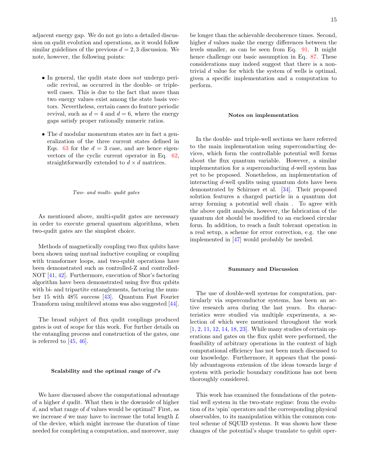adjacent energy gap. We do not go into a detailed discussion on qudit evolution and operations, as it would follow similar guidelines of the previous  $d = 2, 3$  discussion. We note, however, the following points:

- In general, the qudit state does not undergo periodic revival, as occurred in the double- or triplewell cases. This is due to the fact that more than two energy values exist among the state basis vectors. Nevertheless, certain cases do feature periodic revival, such as  $d = 4$  and  $d = 6$ , where the energy gaps satisfy proper rationally numeric ratios.
- The d modular momentum states are in fact a generalization of the three current states defined in Eqs. [63](#page-12-0) for the  $d = 3$  case, and are hence eigenvectors of the cyclic current operator in Eq. [62,](#page-12-1) straightforwardly extended to  $d \times d$  matrices.

### Two- and multi- qudit gates

As mentioned above, multi-qudit gates are necessary in order to execute general quantum algorithms, when two-qudit gates are the simplest choice.

Methods of magnetically coupling two flux qubits have been shown using mutual inductive coupling or coupling with transformer loops, and two-qubit operations have been demonstrated such as controlled-Z and controlled-NOT [\[41,](#page-18-33) [42\]](#page-18-34). Furthermore, execution of Shor's factoring algorithm have been demonstrated using five flux qubits with bi- and tripartite entanglements, factoring the number 15 with 48% success [\[43\]](#page-18-35). Quantum Fast Fourier Transform using multilevel atoms was also suggested [\[44\]](#page-18-36).

The broad subject of flux qudit couplings produced gates is out of scope for this work. For further details on the entangling process and construction of the gates, one is referred to [\[45,](#page-18-37) [46\]](#page-18-38).

### Scalability and the optimal range of  $d$ 's

We have discussed above the computational advantage of a higher d qudit. What then is the downside of higher  $d$ , and what range of  $d$  values would be optimal? First, as we increase  $d$  we may have to increase the total length  $L$ of the device, which might increase the duration of time needed for completing a computation, and moreover, may

be longer than the achievable decoherence times. Second, higher d values make the energy differences between the levels smaller, as can be seen from Eq. [91.](#page-15-2) It might hence challenge our basic assumption in Eq. [87.](#page-15-1) These considerations may indeed suggest that there is a nontrivial d value for which the system of wells is optimal, given a specific implementation and a computation to perform.

### Notes on implementation

In the double- and triple-well sections we have referred to the main implementation using superconducting devices, which form the controllable potential well forms about the flux quantum variable. However, a similar implementation for a superconducting  $d$ -well system has yet to be proposed. Nonetheless, an implementation of interacting d-well qudits using quantum dots have been demonstrated by Schirmer et al. [\[34\]](#page-18-26). Their proposed solution features a charged particle in a quantum dot array forming a potential well chain . To agree with the above qudit analysis, however, the fabrication of the quantum dot should be modified to an enclosed circular form. In addition, to reach a fault tolerant operation in a real setup, a scheme for error correction, e.g. the one implemented in [\[47\]](#page-18-39) would probably be needed.

### Summary and Discussion

The use of double-well systems for computation, particularly via superconductor systems, has been an active research area during the last years. Its characteristics were studied via multiple experiments, a selection of which were mentioned throughout the work [\[1,](#page-17-0) [2,](#page-17-1) [11,](#page-18-6) [12,](#page-18-7) [14,](#page-18-9) [18,](#page-18-13) [23\]](#page-18-17). While many studies of certain operations and gates on the flux qubit were performed, the feasibility of arbitrary operations in the context of high computational efficiency has not been much discussed to our knowledge. Furthermore, it appears that the possibly advantageous extension of the ideas towards large d system with periodic boundary conditions has not been thoroughly considered.

This work has examined the foundations of the potential well system in the two-state regime: from the evolution of its 'spin' operators and the corresponding physical observables, to its manipulation within the common control scheme of SQUID systems. It was shown how these changes of the potential's shape translate to qubit oper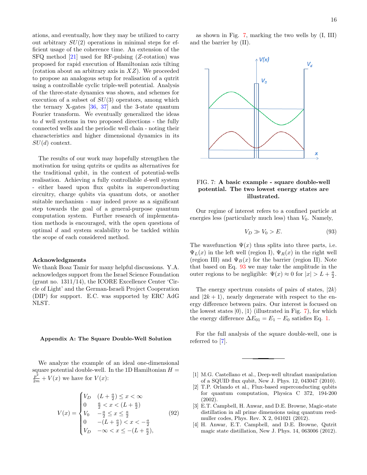ations, and eventually, how they may be utilized to carry out arbitrary  $SU(2)$  operations in minimal steps for efficient usage of the coherence time. An extension of the SFQ method [\[21\]](#page-18-15) used for RF-pulsing (Z-rotation) was proposed for rapid execution of Hamiltonian axis tilting (rotation about an arbitrary axis in  $XZ$ ). We proceeded to propose an analogous setup for realisation of a qutrit using a controllable cyclic triple-well potential. Analysis of the three-state dynamics was shown, and schemes for execution of a subset of  $SU(3)$  operators, among which the ternary X-gates [\[36,](#page-18-28) [37\]](#page-18-29) and the 3-state quantum Fourier transform. We eventually generalized the ideas to d well systems in two proposed directions - the fully connected wells and the periodic well chain - noting their characteristics and higher dimensional dynamics in its  $SU(d)$  context.

The results of our work may hopefully strengthen the motivation for using qutrits or qudits as alternatives for the traditional qubit, in the context of potential-wells realisation. Achieving a fully controllable d-well system - either based upon flux qubits in superconducting circuitry, charge qubits via quantum dots, or another suitable mechanism - may indeed prove as a significant step towards the goal of a general-purpose quantum computation system. Further research of implementation methods is encouraged, with the open questions of optimal  $d$  and system scalability to be tackled within the scope of each considered method.

### Acknowledgments

We thank Boaz Tamir for many helpful discussions. Y.A. acknowledges support from the Israel Science Foundation (grant no. 1311/14), the ICORE Excellence Center 'Circle of Light' and the German-Israeli Project Cooperation (DIP) for support. E.C. was supported by ERC AdG NLST.

### Appendix A: The Square Double-Well Solution

We analyze the example of an ideal one-dimensional square potential double-well. In the 1D Hamiltonian  $H =$  $\frac{p^2}{2m} + V(x)$  we have for  $V(x)$ :

$$
V(x) = \begin{cases} V_D & (L + \frac{a}{2}) \le x < \infty \\ 0 & \frac{a}{2} < x < (L + \frac{a}{2}) \\ V_0 & -\frac{a}{2} \le x \le \frac{a}{2} \\ 0 & -(L + \frac{a}{2}) < x < -\frac{a}{2} \\ V_D & -\infty < x \le -(L + \frac{a}{2}), \end{cases} \tag{92}
$$

as shown in Fig. [7,](#page-17-4) marking the two wells by (I, III) and the barrier by (II).



### <span id="page-17-4"></span>FIG. 7: A basic example - square double-well potential. The two lowest energy states are illustrated.

Our regime of interest refers to a confined particle at energies less (particularly much less) than  $V_0$ . Namely,

<span id="page-17-5"></span>
$$
V_D \gg V_0 > E. \tag{93}
$$

The wavefunction  $\Psi(x)$  thus splits into three parts, i.e.  $\Psi_L(x)$  in the left well (region I),  $\Psi_R(x)$  in the right well (region III) and  $\Psi_B(x)$  for the barrier (region II). Note that based on Eq. [93](#page-17-5) we may take the amplitude in the outer regions to be negligible:  $\Psi(x) \approx 0$  for  $|x| > L + \frac{a}{2}$ .

The energy spectrum consists of pairs of states,  $|2k\rangle$ and  $|2k + 1\rangle$ , nearly degenerate with respect to the energy difference between pairs. Our interest is focused on the lowest states  $|0\rangle$ ,  $|1\rangle$  (illustrated in Fig. [7\)](#page-17-4), for which the energy difference  $\Delta E_{01} = E_1 - E_0$  satisfies Eq. [1.](#page-3-0)

For the full analysis of the square double-well, one is referred to [\[7\]](#page-18-2).

- <span id="page-17-0"></span>[1] M.G. Castellano et al., Deep-well ultrafast manipulation of a SQUID flux qubit, New J. Phys. 12, 043047 (2010).
- <span id="page-17-1"></span>[2] T.P. Orlando et al., Flux-based superconducting qubits for quantum computation, Physica C 372, 194-200 (2002).
- <span id="page-17-2"></span>[3] E.T. Campbell, H. Anwar, and D.E. Browne, Magic-state distillation in all prime dimensions using quantum reedmuller codes, Phys. Rev. X 2, 041021 (2012).
- <span id="page-17-3"></span>[4] H. Anwar, E.T. Campbell, and D.E. Browne, Qutrit magic state distillation, New J. Phys. 14, 063006 (2012).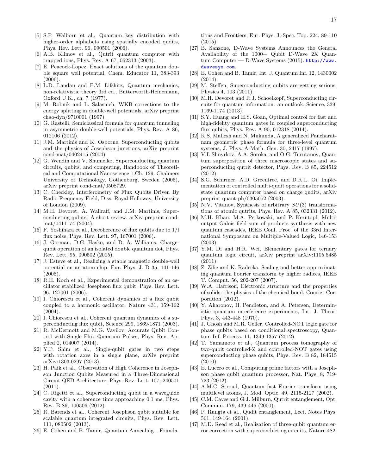- <span id="page-18-0"></span>[5] S.P. Walborn et al., Quantum key distribution with higher-order alphabets using spatially encoded qudits, Phys. Rev. Lett. 96, 090501 (2006).
- <span id="page-18-1"></span>[6] A.B. Klimov et al., Qutrit quantum computer with trapped ions, Phys. Rev. A 67, 062313 (2003).
- <span id="page-18-2"></span>[7] E. Peacock-Lopez, Exact solutions of the quantum double square well potential, Chem. Educator 11, 383-393 (2006).
- <span id="page-18-3"></span>[8] L.D. Landau and E.M. Lifshitz, Quantum mechanics, non-relativistic theory 3rd ed., Butterworth-Heinemann, Oxford U.K., ch. 7 (1977).
- <span id="page-18-4"></span>[9] M. Robnik and L. Salasnich, WKB corrections to the energy splitting in double-well potentials, arXiv preprint chao-dyn/9710001 (1997).
- <span id="page-18-5"></span>[10] G. Rastelli, Semiclassical formula for quantum tunneling in asymmetric double-well potentials, Phys. Rev. A 86, 012106 (2012).
- <span id="page-18-6"></span>[11] J.M. Martinis and K. Osborne, Superconducting qubits and the physics of Josephson junctions, arXiv preprint cond-mat/0402415 (2004).
- <span id="page-18-7"></span>[12] G. Wendin and V. Shumeiko, Superconducting quantum circuits, qubits, and computing, Handbook of Theoretical and Computational Nanoscience 1.Ch. 129. Chalmers University of Technology, Gothenburg, Sweden (2005), arXiv preprint cond-mat/0508729.
- <span id="page-18-8"></span>[13] C. Checkley, Interferometry of Flux Qubits Driven By Radio Frequency Field, Diss. Royal Holloway, University of London (2009).
- <span id="page-18-9"></span>[14] M.H. Devoret, A. Wallraff, and J.M. Martinis, Superconducting qubits: A short review, arXiv preprint condmat/0411174 (2004).
- <span id="page-18-10"></span>[15] F. Yoshihara et al., Decoherence of flux qubits due to 1/f flux noise, Phys. Rev. Lett. 97, 167001 (2006).
- <span id="page-18-11"></span>[16] J. Gorman, D.G. Hasko, and D. A. Williams, Chargequbit operation of an isolated double quantum dot, Phys. Rev. Lett. 95, 090502 (2005).
- <span id="page-18-12"></span>[17] J. Esteve et al., Realizing a stable magnetic double-well potential on an atom chip, Eur. Phys. J. D 35, 141-146 (2005).
- <span id="page-18-13"></span>[18] R.H. Koch et al., Experimental demonstration of an oscillator stabilized Josephson flux qubit, Phys. Rev. Lett. 96, 127001 (2006).
- <span id="page-18-40"></span>[19] I. Chiorescu et al., Coherent dynamics of a flux qubit coupled to a harmonic oscillator, Nature 431, 159-162 (2004).
- <span id="page-18-14"></span>[20] I. Chiorescu et al., Coherent quantum dynamics of a superconducting flux qubit, Science 299, 1869-1871 (2003).
- <span id="page-18-15"></span>[21] R. McDermott and M.G. Vavilov, Accurate Qubit Control with Single Flux Quantum Pulses, Phys. Rev. Applied 2, 014007 (2014).
- <span id="page-18-16"></span>[22] Y.P. Shim et al., Single-qubit gates in two steps with rotation axes in a single plane, arXiv preprint arXiv:1303.0297 (2013).
- <span id="page-18-17"></span>[23] H. Paik et al., Observation of High Coherence in Josephson Junction Qubits Measured in a Three-Dimensional Circuit QED Architecture, Phys. Rev. Lett. 107, 240501 (2011).
- <span id="page-18-18"></span>[24] C. Rigetti et al., Superconducting qubit in a waveguide cavity with a coherence time approaching 0.1 ms, Phys. Rev. B 86, 100506 (2012).
- <span id="page-18-19"></span>[25] R. Barends et al., Coherent Josephson qubit suitable for scalable quantum integrated circuits, Phys. Rev. Lett. 111, 080502 (2013).
- <span id="page-18-20"></span>[26] E. Cohen and B. Tamir, Quantum Annealing - Founda-

tions and Frontiers, Eur. Phys. J.-Spec. Top. 224, 89-110 (2015).

- <span id="page-18-41"></span>[27] B. Sanzone, D-Wave Systems Announces the General Availability of the 1000+ Qubit D-Wave 2X Quantum Computer — D-Wave Systems (2015). [http://www.](http://www.dwavesys.com) [dwavesys.com](http://www.dwavesys.com).
- <span id="page-18-42"></span>[28] E. Cohen and B. Tamir, Int. J. Quantum Inf. 12, 1430002 (2014).
- <span id="page-18-21"></span>[29] M. Steffen, Superconducting qubits are getting serious, Physics 4, 103 (2011).
- <span id="page-18-22"></span>[30] M.H. Devoret and R.J. Schoelkopf, Superconducting circuits for quantum information: an outlook, Science, 339, 1169-1174 (2013).
- <span id="page-18-23"></span>[31] S.Y. Huang and H.S. Goan, Optimal control for fast and high-fidelity quantum gates in coupled superconducting flux qubits, Phys. Rev. A 90, 012318 (2014).
- <span id="page-18-24"></span>[32] K.S. Mallesh and N. Mukunda, A generalized Pancharatnam geometric phase formula for three-level quantum systems, J. Phys. A-Math. Gen. 30, 2417 (1997).
- <span id="page-18-25"></span>[33] V.I. Shnyrkov, A.A. Soroka, and O.G. Turutanov, Quantum superposition of three macroscopic states and superconducting qutrit detector, Phys. Rev. B 85, 224512 (2012).
- <span id="page-18-26"></span>[34] S.G. Schirmer, A.D. Greentree, and D.K.L. Oi, Implementation of controlled multi-qudit operations for a solidstate quantum computer based on charge qudits, arXiv preprint quant-ph/0305052 (2003).
- <span id="page-18-27"></span>[35] N.V. Vitanov, Synthesis of arbitrary  $SU(3)$  transformations of atomic qutrits, Phys. Rev. A 85, 032331 (2012).
- <span id="page-18-28"></span>[36] M.H. Khan, M.A. Perkowski, and P. Kerntopf, Multioutput Galois field sum of products synthesis with new quantum cascades, IEEE Conf. Proc. of the 33rd International Symposium on Multiple-Valued Logic, 146-153 (2003).
- <span id="page-18-29"></span>[37] Y.M. Di and H.R. Wei, Elementary gates for ternary quantum logic circuit, arXiv preprint arXiv:1105.5485 (2011).
- <span id="page-18-30"></span>[38] Z. Zilic and K. Radecka, Scaling and better approximating quantum Fourier transform by higher radices, IEEE T. Comput. 56, 202-207 (2007).
- <span id="page-18-31"></span>[39] W.A. Harrison, Electronic structure and the properties of solids: the physics of the chemical bond, Courier Corporation (2012).
- <span id="page-18-32"></span>[40] Y. Aharonov, H. Pendleton, and A. Petersen, Deterministic quantum interference experiments, Int. J. Theor. Phys. 3, 443-448 (1970).
- <span id="page-18-33"></span>[41] J. Ghosh and M.R. Geller, Controlled-NOT logic gate for phase qubits based on conditional spectroscopy, Quantum Inf. Process. 11, 1349-1357 (2012).
- <span id="page-18-34"></span>[42] T. Yamamoto et al., Quantum process tomography of two-qubit controlled-Z and controlled-NOT gates using superconducting phase qubits, Phys. Rev. B 82, 184515 (2010).
- <span id="page-18-35"></span>[43] E. Lucero et al., Computing prime factors with a Josephson phase qubit quantum processor, Nat. Phys. 8, 719- 723 (2012).
- <span id="page-18-36"></span>[44] A.M.C. Stroud, Quantum fast Fourier transform using multilevel atoms, J. Mod. Optic. 49, 2115-2127 (2002).
- <span id="page-18-37"></span>[45] C.M. Caves and G.J. Milburn, Qutrit entanglement, Opt. Commun. 179, 439-446 (2000).
- <span id="page-18-38"></span>[46] P. Rungta et al., Qudit entanglement, Lect. Notes Phys. 561, 149-164 (2001).
- <span id="page-18-39"></span>[47] M.D. Reed et al., Realization of three-qubit quantum error correction with superconducting circuits, Nature 482,